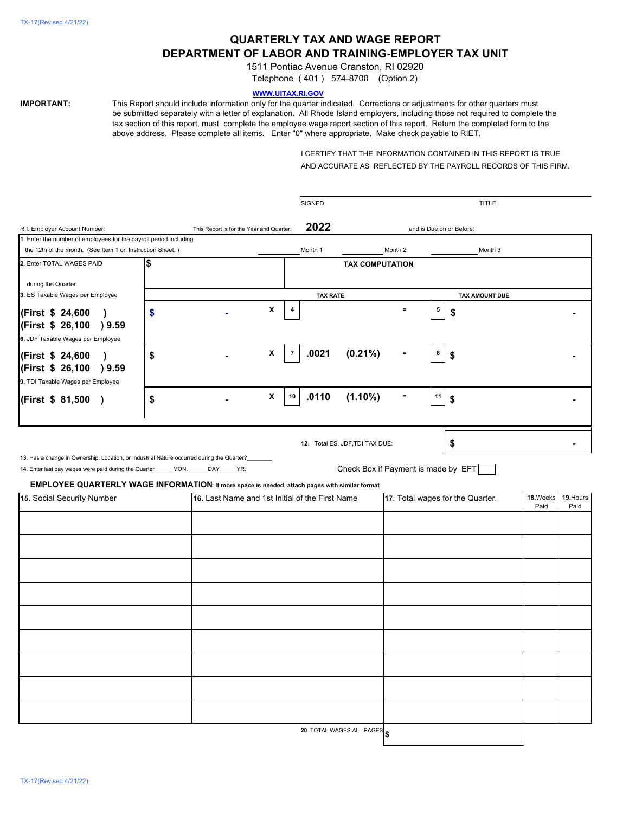# **QUARTERLY TAX AND WAGE REPORT DEPARTMENT OF LABOR AND TRAINING-EMPLOYER TAX UNIT**

1511 Pontiac Avenue Cranston, RI 02920

Telephone ( 401 ) 574-8700 (Option 2)

# **WWW.UITAX.RI.GOV**

**IMPORTANT:** This Report should include information only for the quarter indicated. Corrections or adjustments for other quarters must be submitted separately with a letter of explanation. All Rhode Island employers, including those not required to complete the tax section of this report, must complete the employee wage report section of this report. Return the completed form to the above address. Please complete all items. Enter "0" where appropriate. Make check payable to RIET.

> I CERTIFY THAT THE INFORMATION CONTAINED IN THIS REPORT IS TRUE AND ACCURATE AS REFLECTED BY THE PAYROLL RECORDS OF THIS FIRM.

|                                                                                                |           |    |  |                                                 |                | <b>SIGNED</b>   |                                     |                                  |    | TITLE                 |          |           |
|------------------------------------------------------------------------------------------------|-----------|----|--|-------------------------------------------------|----------------|-----------------|-------------------------------------|----------------------------------|----|-----------------------|----------|-----------|
| R.I. Employer Account Number:<br>This Report is for the Year and Quarter:                      |           |    |  |                                                 |                | 2022            | and is Due on or Before:            |                                  |    |                       |          |           |
| 1. Enter the number of employees for the payroll period including                              |           |    |  |                                                 |                |                 |                                     |                                  |    |                       |          |           |
| the 12th of the month. (See Item 1 on Instruction Sheet.)                                      |           |    |  | Month 1                                         |                | Month 2         |                                     | Month 3                          |    |                       |          |           |
| 2. Enter TOTAL WAGES PAID                                                                      |           | \$ |  |                                                 |                |                 | <b>TAX COMPUTATION</b>              |                                  |    |                       |          |           |
|                                                                                                |           |    |  |                                                 |                |                 |                                     |                                  |    |                       |          |           |
| during the Quarter                                                                             |           |    |  |                                                 |                |                 |                                     |                                  |    |                       |          |           |
| 3. ES Taxable Wages per Employee                                                               |           |    |  |                                                 |                | <b>TAX RATE</b> |                                     |                                  |    | <b>TAX AMOUNT DUE</b> |          |           |
| (First \$ 24,600                                                                               | $\lambda$ | \$ |  | X                                               |                |                 |                                     | $\equiv$                         | 5  | S                     |          |           |
| (First \$ 26,100 ) 9.59                                                                        |           |    |  |                                                 |                |                 |                                     |                                  |    |                       |          |           |
| 6. JDF Taxable Wages per Employee                                                              |           |    |  |                                                 |                |                 |                                     |                                  |    |                       |          |           |
|                                                                                                |           |    |  | X                                               | $\overline{7}$ | .0021           | $(0.21\%)$                          | $\equiv$                         | 8  |                       |          |           |
| (First \$ 24,600                                                                               | $\lambda$ | \$ |  |                                                 |                |                 |                                     |                                  |    | \$                    |          |           |
| (First \$ 26,100 ) 9.59                                                                        |           |    |  |                                                 |                |                 |                                     |                                  |    |                       |          |           |
| 9. TDI Taxable Wages per Employee                                                              |           |    |  |                                                 |                |                 |                                     |                                  |    |                       |          |           |
| (First \$ 81,500)                                                                              |           | \$ |  | X                                               | 10             | .0110           | $(1.10\%)$                          | $\equiv$                         | 11 | \$                    |          |           |
|                                                                                                |           |    |  |                                                 |                |                 |                                     |                                  |    |                       |          |           |
|                                                                                                |           |    |  |                                                 |                |                 |                                     |                                  |    |                       |          |           |
|                                                                                                |           |    |  |                                                 |                |                 |                                     |                                  |    |                       |          |           |
|                                                                                                |           |    |  |                                                 |                |                 | 12. Total ES, JDF, TDI TAX DUE:     |                                  |    | \$                    |          |           |
| 13. Has a change in Ownership, Location, or Industrial Nature occurred during the Quarter?     |           |    |  |                                                 |                |                 |                                     |                                  |    |                       |          |           |
| 14. Enter last day wages were paid during the Quarter______MON. ______DAY _____YR.             |           |    |  |                                                 |                |                 | Check Box if Payment is made by EFT |                                  |    |                       |          |           |
| EMPLOYEE QUARTERLY WAGE INFORMATION: If more space is needed, attach pages with similar format |           |    |  |                                                 |                |                 |                                     |                                  |    |                       |          |           |
| 15. Social Security Number                                                                     |           |    |  | 16. Last Name and 1st Initial of the First Name |                |                 |                                     | 17. Total wages for the Quarter. |    |                       | 18.Weeks | 19. Hours |
|                                                                                                |           |    |  |                                                 |                |                 |                                     |                                  |    |                       | Paid     | Paid      |
|                                                                                                |           |    |  |                                                 |                |                 |                                     |                                  |    |                       |          |           |
|                                                                                                |           |    |  |                                                 |                |                 |                                     |                                  |    |                       |          |           |
|                                                                                                |           |    |  |                                                 |                |                 |                                     |                                  |    |                       |          |           |
|                                                                                                |           |    |  |                                                 |                |                 |                                     |                                  |    |                       |          |           |
|                                                                                                |           |    |  |                                                 |                |                 |                                     |                                  |    |                       |          |           |
|                                                                                                |           |    |  |                                                 |                |                 |                                     |                                  |    |                       |          |           |
|                                                                                                |           |    |  |                                                 |                |                 |                                     |                                  |    |                       |          |           |
|                                                                                                |           |    |  |                                                 |                |                 |                                     |                                  |    |                       |          |           |
|                                                                                                |           |    |  |                                                 |                |                 |                                     |                                  |    |                       |          |           |
|                                                                                                |           |    |  |                                                 |                |                 |                                     |                                  |    |                       |          |           |
|                                                                                                |           |    |  |                                                 |                |                 |                                     |                                  |    |                       |          |           |
|                                                                                                |           |    |  |                                                 |                |                 |                                     |                                  |    |                       |          |           |
|                                                                                                |           |    |  |                                                 |                |                 |                                     |                                  |    |                       |          |           |
|                                                                                                |           |    |  |                                                 |                |                 |                                     |                                  |    |                       |          |           |
|                                                                                                |           |    |  |                                                 |                |                 |                                     |                                  |    |                       |          |           |
|                                                                                                |           |    |  |                                                 |                |                 |                                     |                                  |    |                       |          |           |
|                                                                                                |           |    |  |                                                 |                |                 |                                     |                                  |    |                       |          |           |

**\$**